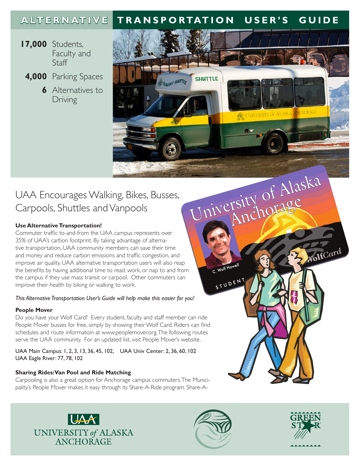## **ALTERNATIVE TRANSPORTATION USER'S GUIDE**

SEAWOLF SHUTTLE

**SHUTTLE** 

UNIVERSITY OF ALASKA ANCHORAGE

- **17,000** Students, Faculty and **Staff** 
	- **4,000** Parking Spaces
		- **6** Alternatives to Driving

## UAA Encourages Walking, Bikes, Busses, Carpools, Shuttles and Vanpools

## **Use Alternative Transportation!**

University of Alaska Commuter traffic to-and-from the UAA campus represents over 35% of UAA's carbon footprint. By taking advantage of alternative transportation, UAA community members can save their time and money and reduce carbon emissions and traffic congestion, and improve air quality. UAA alternative transportation users will also reap the benefits by having additional time to read, work, or nap to and from the campus if they use mass transit or carpool. Other commuters can improve their health by biking or walking to work.

## *This Alternative Transportation User's Guide will help make this easier for you!*

## **People Mover**

Do you have your Wolf Card? Every student, faculty and staff member can ride People Mover busses for free, simply by showing their Wolf Card. Riders can find schedules and route information at www.peoplemover.org. The following routes serve the UAA community. For an updated list, visit People Mover's website.

UAA Main Campus: 1, 2, 3, 13, 36, 45, 102, UAA Univ Center: 2, 36, 60, 102 UAA Eagle River: 77, 78, 102

## **Sharing Rides: Van Pool and Ride Matching**

Carpooling is also a great option for Anchorage campus commuters. The Municipality's People Mover makes it easy through its Share-A-Ride program. Share-A-





C. Wolf Howell

STUDENT



NolsCard